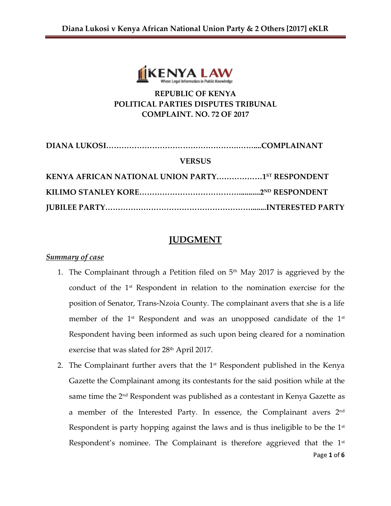

## **REPUBLIC OF KENYA POLITICAL PARTIES DISPUTES TRIBUNAL COMPLAINT. NO. 72 OF 2017**

| <b>VERSUS</b>                                    |  |
|--------------------------------------------------|--|
| KENYA AFRICAN NATIONAL UNION PARTY1ST RESPONDENT |  |
|                                                  |  |
|                                                  |  |

# **JUDGMENT**

## *Summary of case*

- 1. The Complainant through a Petition filed on  $5<sup>th</sup>$  May 2017 is aggrieved by the conduct of the 1st Respondent in relation to the nomination exercise for the position of Senator, Trans-Nzoia County. The complainant avers that she is a life member of the  $1<sup>st</sup>$  Respondent and was an unopposed candidate of the  $1<sup>st</sup>$ Respondent having been informed as such upon being cleared for a nomination exercise that was slated for 28<sup>th</sup> April 2017.
- Page **1** of **6** 2. The Complainant further avers that the  $1<sup>st</sup>$  Respondent published in the Kenya Gazette the Complainant among its contestants for the said position while at the same time the 2nd Respondent was published as a contestant in Kenya Gazette as a member of the Interested Party. In essence, the Complainant avers 2<sup>nd</sup> Respondent is party hopping against the laws and is thus ineligible to be the  $1<sup>st</sup>$ Respondent's nominee. The Complainant is therefore aggrieved that the 1<sup>st</sup>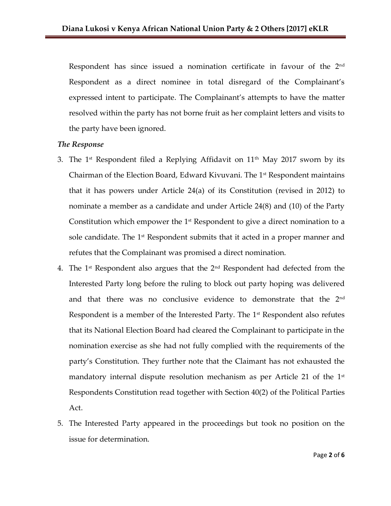Respondent has since issued a nomination certificate in favour of the 2<sup>nd</sup> Respondent as a direct nominee in total disregard of the Complainant's expressed intent to participate. The Complainant's attempts to have the matter resolved within the party has not borne fruit as her complaint letters and visits to the party have been ignored.

### *The Response*

- 3. The  $1<sup>st</sup>$  Respondent filed a Replying Affidavit on  $11<sup>th</sup>$  May 2017 sworn by its Chairman of the Election Board, Edward Kivuvani. The  $1<sup>st</sup>$  Respondent maintains that it has powers under Article 24(a) of its Constitution (revised in 2012) to nominate a member as a candidate and under Article 24(8) and (10) of the Party Constitution which empower the  $1<sup>st</sup>$  Respondent to give a direct nomination to a sole candidate. The 1<sup>st</sup> Respondent submits that it acted in a proper manner and refutes that the Complainant was promised a direct nomination.
- 4. The  $1<sup>st</sup>$  Respondent also argues that the  $2<sup>nd</sup>$  Respondent had defected from the Interested Party long before the ruling to block out party hoping was delivered and that there was no conclusive evidence to demonstrate that the 2<sup>nd</sup> Respondent is a member of the Interested Party. The 1<sup>st</sup> Respondent also refutes that its National Election Board had cleared the Complainant to participate in the nomination exercise as she had not fully complied with the requirements of the party's Constitution. They further note that the Claimant has not exhausted the mandatory internal dispute resolution mechanism as per Article 21 of the  $1<sup>st</sup>$ Respondents Constitution read together with Section 40(2) of the Political Parties Act.
- 5. The Interested Party appeared in the proceedings but took no position on the issue for determination.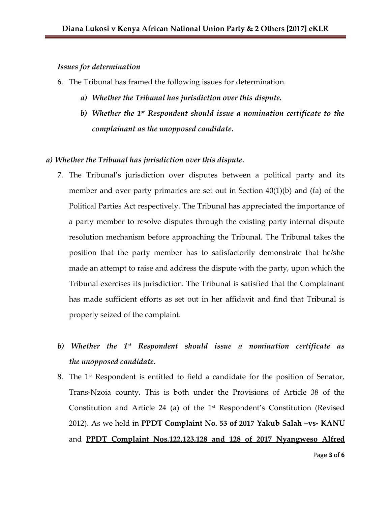#### *Issues for determination*

- 6. The Tribunal has framed the following issues for determination.
	- *a) Whether the Tribunal has jurisdiction over this dispute.*
	- *b) Whether the 1st Respondent should issue a nomination certificate to the complainant as the unopposed candidate.*

#### *a) Whether the Tribunal has jurisdiction over this dispute.*

- 7. The Tribunal's jurisdiction over disputes between a political party and its member and over party primaries are set out in Section 40(1)(b) and (fa) of the Political Parties Act respectively. The Tribunal has appreciated the importance of a party member to resolve disputes through the existing party internal dispute resolution mechanism before approaching the Tribunal. The Tribunal takes the position that the party member has to satisfactorily demonstrate that he/she made an attempt to raise and address the dispute with the party, upon which the Tribunal exercises its jurisdiction. The Tribunal is satisfied that the Complainant has made sufficient efforts as set out in her affidavit and find that Tribunal is properly seized of the complaint.
- *b) Whether the 1st Respondent should issue a nomination certificate as the unopposed candidate.*
- 8. The  $1<sup>st</sup>$  Respondent is entitled to field a candidate for the position of Senator, Trans-Nzoia county. This is both under the Provisions of Article 38 of the Constitution and Article 24 (a) of the  $1<sup>st</sup>$  Respondent's Constitution (Revised 2012). As we held in **PPDT Complaint No. 53 of 2017 Yakub Salah –vs- KANU** and **PPDT Complaint Nos.122,123,128 and 128 of 2017 Nyangweso Alfred**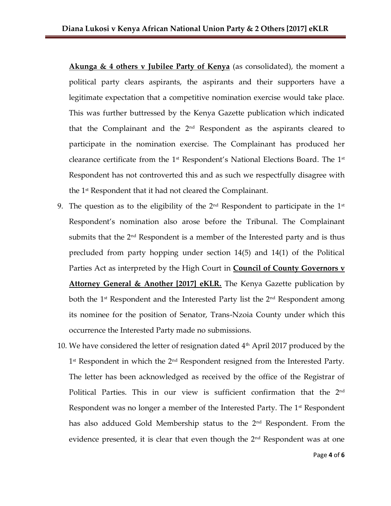**Akunga & 4 others v Jubilee Party of Kenya** (as consolidated), the moment a political party clears aspirants, the aspirants and their supporters have a legitimate expectation that a competitive nomination exercise would take place. This was further buttressed by the Kenya Gazette publication which indicated that the Complainant and the  $2<sup>nd</sup>$  Respondent as the aspirants cleared to participate in the nomination exercise. The Complainant has produced her clearance certificate from the  $1<sup>st</sup>$  Respondent's National Elections Board. The  $1<sup>st</sup>$ Respondent has not controverted this and as such we respectfully disagree with the 1st Respondent that it had not cleared the Complainant.

- 9. The question as to the eligibility of the  $2<sup>nd</sup>$  Respondent to participate in the  $1<sup>st</sup>$ Respondent's nomination also arose before the Tribunal. The Complainant submits that the  $2<sup>nd</sup>$  Respondent is a member of the Interested party and is thus precluded from party hopping under section 14(5) and 14(1) of the Political Parties Act as interpreted by the High Court in **Council of County Governors v**  Attorney General & Another [2017] eKLR. The Kenya Gazette publication by both the 1<sup>st</sup> Respondent and the Interested Party list the 2<sup>nd</sup> Respondent among its nominee for the position of Senator, Trans-Nzoia County under which this occurrence the Interested Party made no submissions.
- 10. We have considered the letter of resignation dated  $4<sup>th</sup>$  April 2017 produced by the 1 st Respondent in which the 2nd Respondent resigned from the Interested Party. The letter has been acknowledged as received by the office of the Registrar of Political Parties. This in our view is sufficient confirmation that the 2<sup>nd</sup> Respondent was no longer a member of the Interested Party. The 1<sup>st</sup> Respondent has also adduced Gold Membership status to the 2<sup>nd</sup> Respondent. From the evidence presented, it is clear that even though the 2nd Respondent was at one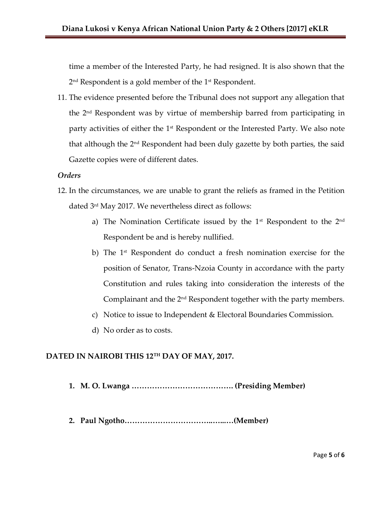time a member of the Interested Party, he had resigned. It is also shown that the 2 nd Respondent is a gold member of the 1st Respondent.

11. The evidence presented before the Tribunal does not support any allegation that the 2nd Respondent was by virtue of membership barred from participating in party activities of either the  $1<sup>st</sup>$  Respondent or the Interested Party. We also note that although the 2nd Respondent had been duly gazette by both parties, the said Gazette copies were of different dates.

### *Orders*

- 12. In the circumstances, we are unable to grant the reliefs as framed in the Petition dated 3rd May 2017. We nevertheless direct as follows:
	- a) The Nomination Certificate issued by the  $1<sup>st</sup>$  Respondent to the  $2<sup>nd</sup>$ Respondent be and is hereby nullified.
	- b) The 1<sup>st</sup> Respondent do conduct a fresh nomination exercise for the position of Senator, Trans-Nzoia County in accordance with the party Constitution and rules taking into consideration the interests of the Complainant and the 2nd Respondent together with the party members.
	- c) Notice to issue to Independent & Electoral Boundaries Commission.
	- d) No order as to costs.

## **DATED IN NAIROBI THIS 12TH DAY OF MAY, 2017.**

- **1. M. O. Lwanga …………………………………. (Presiding Member)**
- **2. Paul Ngotho……………………………..…...…(Member)**